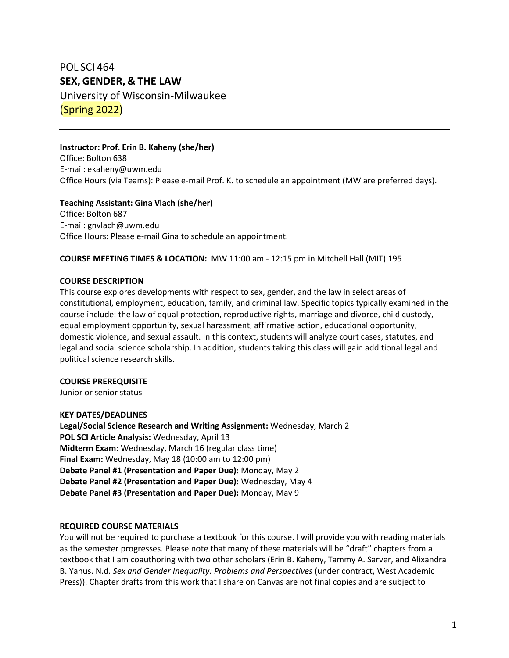# POL SCI 464 **SEX, GENDER, & THE LAW**

University of Wisconsin-Milwaukee (Spring 2022)

# **Instructor: Prof. Erin B. Kaheny (she/her)**

Office: Bolton 638 E-mail: [ekaheny@uwm.edu](mailto:ekaheny@uwm.edu) Office Hours (via Teams): Please e-mail Prof. K. to schedule an appointment (MW are preferred days).

## **Teaching Assistant: Gina Vlach (she/her)**

Office: Bolton 687 E-mail: gnvlach@uwm.edu Office Hours: Please e-mail Gina to schedule an appointment.

#### **COURSE MEETING TIMES & LOCATION:** MW 11:00 am - 12:15 pm in Mitchell Hall (MIT) 195

#### **COURSE DESCRIPTION**

This course explores developments with respect to sex, gender, and the law in select areas of constitutional, employment, education, family, and criminal law. Specific topics typically examined in the course include: the law of equal protection, reproductive rights, marriage and divorce, child custody, equal employment opportunity, sexual harassment, affirmative action, educational opportunity, domestic violence, and sexual assault. In this context, students will analyze court cases, statutes, and legal and social science scholarship. In addition, students taking this class will gain additional legal and political science research skills.

#### **COURSE PREREQUISITE**

Junior or senior status

#### **KEY DATES/DEADLINES**

**Legal/Social Science Research and Writing Assignment:** Wednesday, March 2 **POL SCI Article Analysis:** Wednesday, April 13 **Midterm Exam:** Wednesday, March 16 (regular class time) **Final Exam:** Wednesday, May 18 (10:00 am to 12:00 pm) **Debate Panel #1 (Presentation and Paper Due):** Monday, May 2 **Debate Panel #2 (Presentation and Paper Due):** Wednesday, May 4 **Debate Panel #3 (Presentation and Paper Due):** Monday, May 9

#### **REQUIRED COURSE MATERIALS**

You will not be required to purchase a textbook for this course. I will provide you with reading materials as the semester progresses. Please note that many of these materials will be "draft" chapters from a textbook that I am coauthoring with two other scholars (Erin B. Kaheny, Tammy A. Sarver, and Alixandra B. Yanus. N.d. *Sex and Gender Inequality: Problems and Perspectives* (under contract, West Academic Press)). Chapter drafts from this work that I share on Canvas are not final copies and are subject to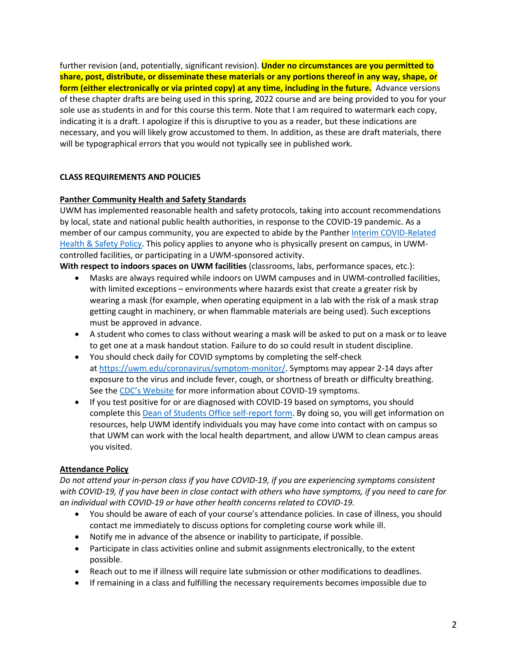further revision (and, potentially, significant revision). **Under no circumstances are you permitted to share, post, distribute, or disseminate these materials or any portions thereof in any way, shape, or form (either electronically or via printed copy) at any time, including in the future.** Advance versions of these chapter drafts are being used in this spring, 2022 course and are being provided to you for your sole use as students in and for this course this term. Note that I am required to watermark each copy, indicating it is a draft. I apologize if this is disruptive to you as a reader, but these indications are necessary, and you will likely grow accustomed to them. In addition, as these are draft materials, there will be typographical errors that you would not typically see in published work.

## **CLASS REQUIREMENTS AND POLICIES**

#### **Panther Community Health and Safety Standards**

UWM has implemented reasonable health and safety protocols, taking into account recommendations by local, state and national public health authorities, in response to the COVID-19 pandemic. As a member of our campus community, you are expected to abide by the Panther [Interim COVID-Related](https://apps.uwm.edu/secu-policies/storage/other/SAAP%2010-12.%20COVID%20Health%20and%20Safety%20Policy.pdf)  [Health & Safety Policy.](https://apps.uwm.edu/secu-policies/storage/other/SAAP%2010-12.%20COVID%20Health%20and%20Safety%20Policy.pdf) This policy applies to anyone who is physically present on campus, in UWMcontrolled facilities, or participating in a UWM-sponsored activity.

**With respect to indoors spaces on UWM facilities** (classrooms, labs, performance spaces, etc.):

- Masks are always required while indoors on UWM campuses and in UWM-controlled facilities, with limited exceptions – environments where hazards exist that create a greater risk by wearing a mask (for example, when operating equipment in a lab with the risk of a mask strap getting caught in machinery, or when flammable materials are being used). Such exceptions must be approved in advance.
- A student who comes to class without wearing a mask will be asked to put on a mask or to leave to get one at a mask handout station. Failure to do so could result in student discipline.
- You should check daily for COVID symptoms by completing the self-check at [https://uwm.edu/coronavirus/symptom-monitor/.](https://uwm.edu/coronavirus/symptom-monitor/) Symptoms may appear 2-14 days after exposure to the virus and include fever, cough, or shortness of breath or difficulty breathing. See the [CDC's Website](https://www.cdc.gov/coronavirus/2019-ncov/symptoms-testing/symptoms.html) for more information about COVID-19 symptoms.
- If you test positive for or are diagnosed with COVID-19 based on symptoms, you should complete this [Dean of Students Office self-report form.](https://cm.maxient.com/reportingform.php?UnivofWisconsinMilwaukee&layout_id=4) By doing so, you will get information on resources, help UWM identify individuals you may have come into contact with on campus so that UWM can work with the local health department, and allow UWM to clean campus areas you visited.

#### **Attendance Policy**

*Do not attend your in-person class if you have COVID-19, if you are experiencing symptoms consistent with COVID-19, if you have been in close contact with others who have symptoms, if you need to care for an individual with COVID-19 or have other health concerns related to COVID-19.*

- You should be aware of each of your course's attendance policies. In case of illness, you should contact me immediately to discuss options for completing course work while ill.
- Notify me in advance of the absence or inability to participate, if possible.
- Participate in class activities online and submit assignments electronically, to the extent possible.
- Reach out to me if illness will require late submission or other modifications to deadlines.
- If remaining in a class and fulfilling the necessary requirements becomes impossible due to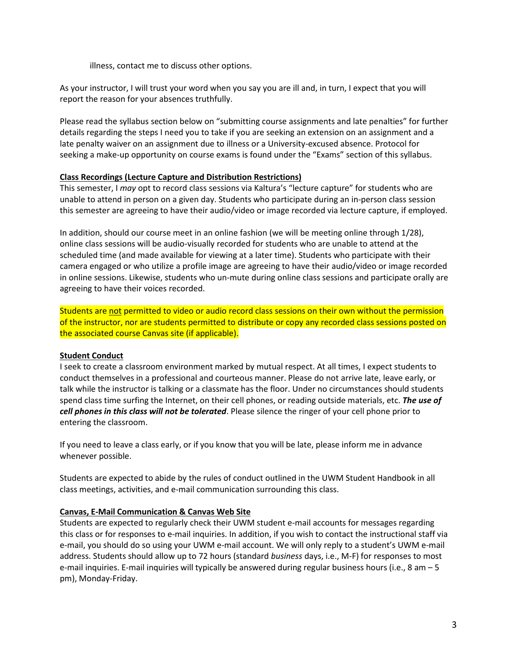illness, contact me to discuss other options.

As your instructor, I will trust your word when you say you are ill and, in turn, I expect that you will report the reason for your absences truthfully.

Please read the syllabus section below on "submitting course assignments and late penalties" for further details regarding the steps I need you to take if you are seeking an extension on an assignment and a late penalty waiver on an assignment due to illness or a University-excused absence. Protocol for seeking a make-up opportunity on course exams is found under the "Exams" section of this syllabus.

#### **Class Recordings (Lecture Capture and Distribution Restrictions)**

This semester, I *may* opt to record class sessions via Kaltura's "lecture capture" for students who are unable to attend in person on a given day. Students who participate during an in-person class session this semester are agreeing to have their audio/video or image recorded via lecture capture, if employed.

In addition, should our course meet in an online fashion (we will be meeting online through 1/28), online class sessions will be audio-visually recorded for students who are unable to attend at the scheduled time (and made available for viewing at a later time). Students who participate with their camera engaged or who utilize a profile image are agreeing to have their audio/video or image recorded in online sessions. Likewise, students who un-mute during online class sessions and participate orally are agreeing to have their voices recorded.

Students are not permitted to video or audio record class sessions on their own without the permission of the instructor, nor are students permitted to distribute or copy any recorded class sessions posted on the associated course Canvas site (if applicable).

# **Student Conduct**

I seek to create a classroom environment marked by mutual respect. At all times, I expect students to conduct themselves in a professional and courteous manner. Please do not arrive late, leave early, or talk while the instructor is talking or a classmate has the floor. Under no circumstances should students spend class time surfing the Internet, on their cell phones, or reading outside materials, etc. *The use of cell phones in this class will not be tolerated*. Please silence the ringer of your cell phone prior to entering the classroom.

If you need to leave a class early, or if you know that you will be late, please inform me in advance whenever possible.

Students are expected to abide by the rules of conduct outlined in the UWM Student Handbook in all class meetings, activities, and e-mail communication surrounding this class.

# **Canvas, E-Mail Communication & Canvas Web Site**

Students are expected to regularly check their UWM student e-mail accounts for messages regarding this class or for responses to e-mail inquiries. In addition, if you wish to contact the instructional staff via e-mail, you should do so using your UWM e-mail account. We will only reply to a student's UWM e-mail address. Students should allow up to 72 hours (standard *business* days, i.e., M-F) for responses to most e-mail inquiries. E-mail inquiries will typically be answered during regular business hours (i.e., 8 am – 5 pm), Monday-Friday.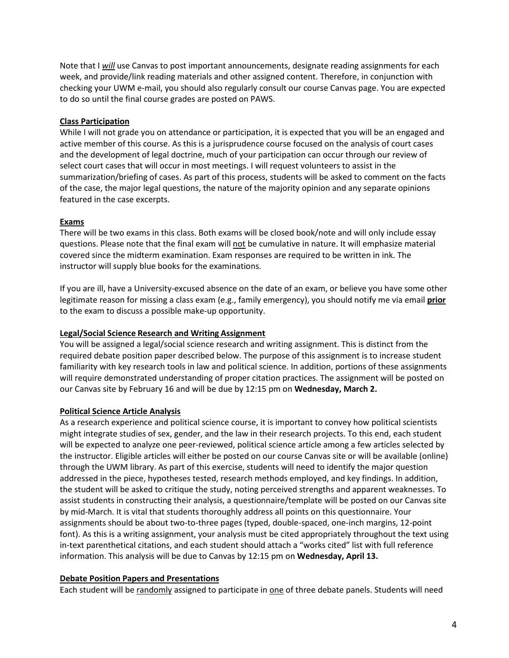Note that I *will* use Canvas to post important announcements, designate reading assignments for each week, and provide/link reading materials and other assigned content. Therefore, in conjunction with checking your UWM e-mail, you should also regularly consult our course Canvas page. You are expected to do so until the final course grades are posted on PAWS.

## **Class Participation**

While I will not grade you on attendance or participation, it is expected that you will be an engaged and active member of this course. As this is a jurisprudence course focused on the analysis of court cases and the development of legal doctrine, much of your participation can occur through our review of select court cases that will occur in most meetings. I will request volunteers to assist in the summarization/briefing of cases. As part of this process, students will be asked to comment on the facts of the case, the major legal questions, the nature of the majority opinion and any separate opinions featured in the case excerpts.

#### **Exams**

There will be two exams in this class. Both exams will be closed book/note and will only include essay questions. Please note that the final exam will not be cumulative in nature. It will emphasize material covered since the midterm examination. Exam responses are required to be written in ink. The instructor will supply blue books for the examinations.

If you are ill, have a University-excused absence on the date of an exam, or believe you have some other legitimate reason for missing a class exam (e.g., family emergency), you should notify me via email **prior** to the exam to discuss a possible make-up opportunity.

#### **Legal/Social Science Research and Writing Assignment**

You will be assigned a legal/social science research and writing assignment. This is distinct from the required debate position paper described below. The purpose of this assignment is to increase student familiarity with key research tools in law and political science. In addition, portions of these assignments will require demonstrated understanding of proper citation practices. The assignment will be posted on our Canvas site by February 16 and will be due by 12:15 pm on **Wednesday, March 2.**

#### **Political Science Article Analysis**

As a research experience and political science course, it is important to convey how political scientists might integrate studies of sex, gender, and the law in their research projects. To this end, each student will be expected to analyze one peer-reviewed, political science article among a few articles selected by the instructor. Eligible articles will either be posted on our course Canvas site or will be available (online) through the UWM library. As part of this exercise, students will need to identify the major question addressed in the piece, hypotheses tested, research methods employed, and key findings. In addition, the student will be asked to critique the study, noting perceived strengths and apparent weaknesses. To assist students in constructing their analysis, a questionnaire/template will be posted on our Canvas site by mid-March. It is vital that students thoroughly address all points on this questionnaire. Your assignments should be about two-to-three pages (typed, double-spaced, one-inch margins, 12-point font). As this is a writing assignment, your analysis must be cited appropriately throughout the text using in-text parenthetical citations, and each student should attach a "works cited" list with full reference information. This analysis will be due to Canvas by 12:15 pm on **Wednesday, April 13.**

#### **Debate Position Papers and Presentations**

Each student will be randomly assigned to participate in one of three debate panels. Students will need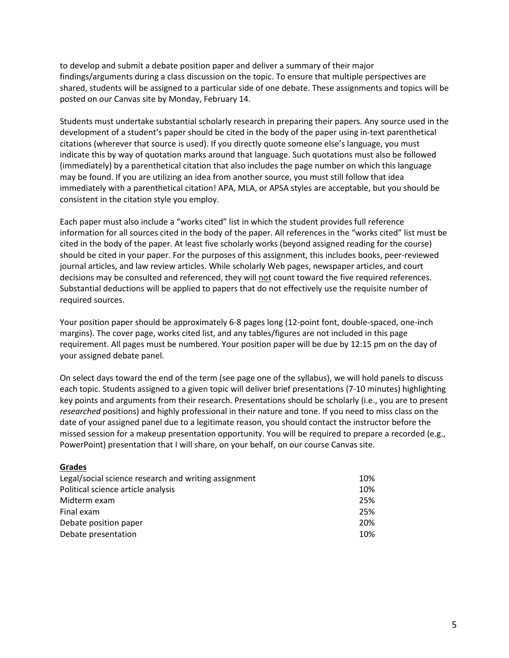to develop and submit a debate position paper and deliver a summary of their major findings/arguments during a class discussion on the topic. To ensure that multiple perspectives are shared, students will be assigned to a particular side of one debate. These assignments and topics will be posted on our Canvas site by Monday, February 14.

Students must undertake substantial scholarly research in preparing their papers. Any source used in the development of a student's paper should be cited in the body of the paper using in-text parenthetical citations (wherever that source is used). If you directly quote someone else's language, you must indicate this by way of quotation marks around that language. Such quotations must also be followed (immediately) by a parenthetical citation that also includes the page number on which this language may be found. If you are utilizing an idea from another source, you must still follow that idea immediately with a parenthetical citation! APA, MLA, or APSA styles are acceptable, but you should be consistent in the citation style you employ.

Each paper must also include a "works cited" list in which the student provides full reference information for all sources cited in the body of the paper. All references in the "works cited" list must be cited in the body of the paper. At least five scholarly works (beyond assigned reading for the course) should be cited in your paper. For the purposes of this assignment, this includes books, peer-reviewed journal articles, and law review articles. While scholarly Web pages, newspaper articles, and court decisions may be consulted and referenced, they will not count toward the five required references. Substantial deductions will be applied to papers that do not effectively use the requisite number of required sources.

Your position paper should be approximately 6-8 pages long (12-point font, double-spaced, one-inch margins). The cover page, works cited list, and any tables/figures are not included in this page requirement. All pages must be numbered. Your position paper will be due by 12:15 pm on the day of your assigned debate panel.

On select days toward the end of the term (see page one of the syllabus), we will hold panels to discuss each topic. Students assigned to a given topic will deliver brief presentations (7-10 minutes) highlighting key points and arguments from their research. Presentations should be scholarly (i.e., you are to present *researched* positions) and highly professional in their nature and tone. If you need to miss class on the date of your assigned panel due to a legitimate reason, you should contact the instructor before the missed session for a makeup presentation opportunity. You will be required to prepare a recorded (e.g., PowerPoint) presentation that I will share, on your behalf, on our course Canvas site.

#### **Grades**

| 10% |
|-----|
| 10% |
| 25% |
| 25% |
| 20% |
| 10% |
|     |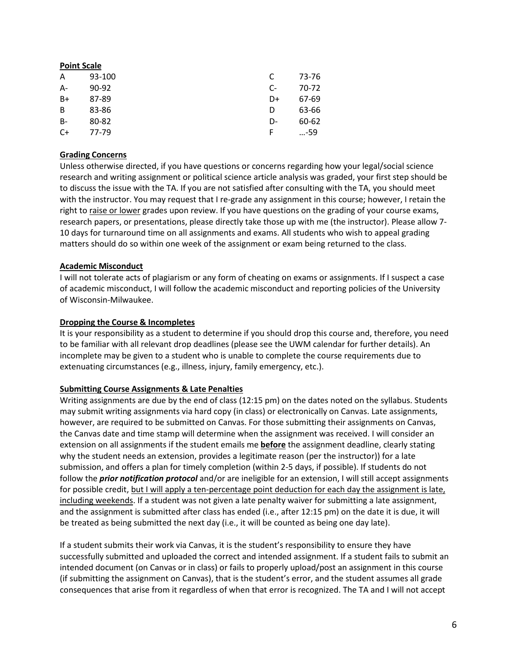| <b>Point Scale</b> |           |      |       |
|--------------------|-----------|------|-------|
| A                  | 93-100    | C    | 73-76 |
| $A -$              | $90 - 92$ | $C-$ | 70-72 |
| $B+$               | 87-89     | D+   | 67-69 |
| B                  | 83-86     | D    | 63-66 |
| $B -$              | 80-82     | D-   | 60-62 |
| $C+$               | 77-79     |      | …-59  |

## **Grading Concerns**

Unless otherwise directed, if you have questions or concerns regarding how your legal/social science research and writing assignment or political science article analysis was graded, your first step should be to discuss the issue with the TA. If you are not satisfied after consulting with the TA, you should meet with the instructor. You may request that I re-grade any assignment in this course; however, I retain the right to raise or lower grades upon review. If you have questions on the grading of your course exams, research papers, or presentations, please directly take those up with me (the instructor). Please allow 7- 10 days for turnaround time on all assignments and exams. All students who wish to appeal grading matters should do so within one week of the assignment or exam being returned to the class.

## **Academic Misconduct**

I will not tolerate acts of plagiarism or any form of cheating on exams or assignments. If I suspect a case of academic misconduct, I will follow the academic misconduct and reporting policies of the University of Wisconsin-Milwaukee.

## **Dropping the Course & Incompletes**

It is your responsibility as a student to determine if you should drop this course and, therefore, you need to be familiar with all relevant drop deadlines (please see the UWM calendar for further details). An incomplete may be given to a student who is unable to complete the course requirements due to extenuating circumstances (e.g., illness, injury, family emergency, etc.).

#### **Submitting Course Assignments & Late Penalties**

Writing assignments are due by the end of class (12:15 pm) on the dates noted on the syllabus. Students may submit writing assignments via hard copy (in class) or electronically on Canvas. Late assignments, however, are required to be submitted on Canvas. For those submitting their assignments on Canvas, the Canvas date and time stamp will determine when the assignment was received. I will consider an extension on all assignments if the student emails me **before** the assignment deadline, clearly stating why the student needs an extension, provides a legitimate reason (per the instructor)) for a late submission, and offers a plan for timely completion (within 2-5 days, if possible). If students do not follow the *prior notification protocol* and/or are ineligible for an extension, I will still accept assignments for possible credit, but I will apply a ten-percentage point deduction for each day the assignment is late, including weekends. If a student was not given a late penalty waiver for submitting a late assignment, and the assignment is submitted after class has ended (i.e., after 12:15 pm) on the date it is due, it will be treated as being submitted the next day (i.e., it will be counted as being one day late).

If a student submits their work via Canvas, it is the student's responsibility to ensure they have successfully submitted and uploaded the correct and intended assignment. If a student fails to submit an intended document (on Canvas or in class) or fails to properly upload/post an assignment in this course (if submitting the assignment on Canvas), that is the student's error, and the student assumes all grade consequences that arise from it regardless of when that error is recognized. The TA and I will not accept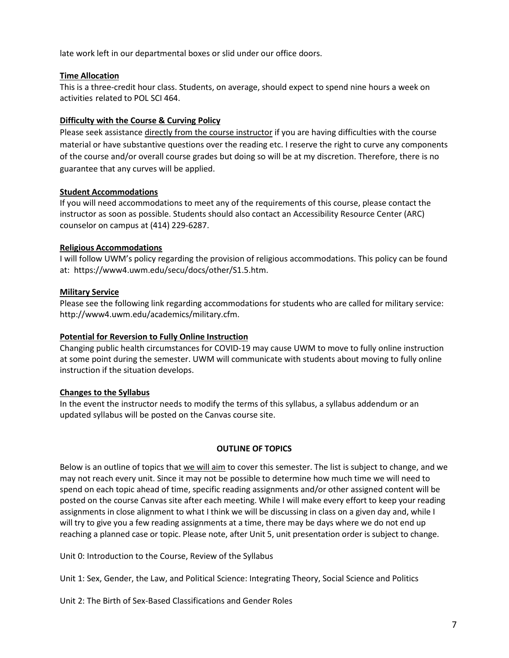late work left in our departmental boxes or slid under our office doors.

## **Time Allocation**

This is a three-credit hour class. Students, on average, should expect to spend nine hours a week on activities related to POL SCI 464.

## **Difficulty with the Course & Curving Policy**

Please seek assistance directly from the course instructor if you are having difficulties with the course material or have substantive questions over the reading etc. I reserve the right to curve any components of the course and/or overall course grades but doing so will be at my discretion. Therefore, there is no guarantee that any curves will be applied.

## **Student Accommodations**

If you will need accommodations to meet any of the requirements of this course, please contact the instructor as soon as possible. Students should also contact an Accessibility Resource Center (ARC) counselor on campus at (414) 229-6287.

## **Religious Accommodations**

I will follow UWM's policy regarding the provision of religious accommodations. This policy can be found at: https://www4.uwm.edu/secu/docs/other/S1.5.htm.

## **Military Service**

Please see the following link regarding accommodations for students who are called for military service: [http://www4.uwm.edu/academics/military.cfm.](http://www4.uwm.edu/academics/military.cfm)

# **Potential for Reversion to Fully Online Instruction**

Changing public health circumstances for COVID-19 may cause UWM to move to fully online instruction at some point during the semester. UWM will communicate with students about moving to fully online instruction if the situation develops.

# **Changes to the Syllabus**

In the event the instructor needs to modify the terms of this syllabus, a syllabus addendum or an updated syllabus will be posted on the Canvas course site.

#### **OUTLINE OF TOPICS**

Below is an outline of topics that we will aim to cover this semester. The list is subject to change, and we may not reach every unit. Since it may not be possible to determine how much time we will need to spend on each topic ahead of time, specific reading assignments and/or other assigned content will be posted on the course Canvas site after each meeting. While I will make every effort to keep your reading assignments in close alignment to what I think we will be discussing in class on a given day and, while I will try to give you a few reading assignments at a time, there may be days where we do not end up reaching a planned case or topic. Please note, after Unit 5, unit presentation order is subject to change.

Unit 0: Introduction to the Course, Review of the Syllabus

Unit 1: Sex, Gender, the Law, and Political Science: Integrating Theory, Social Science and Politics

Unit 2: The Birth of Sex-Based Classifications and Gender Roles